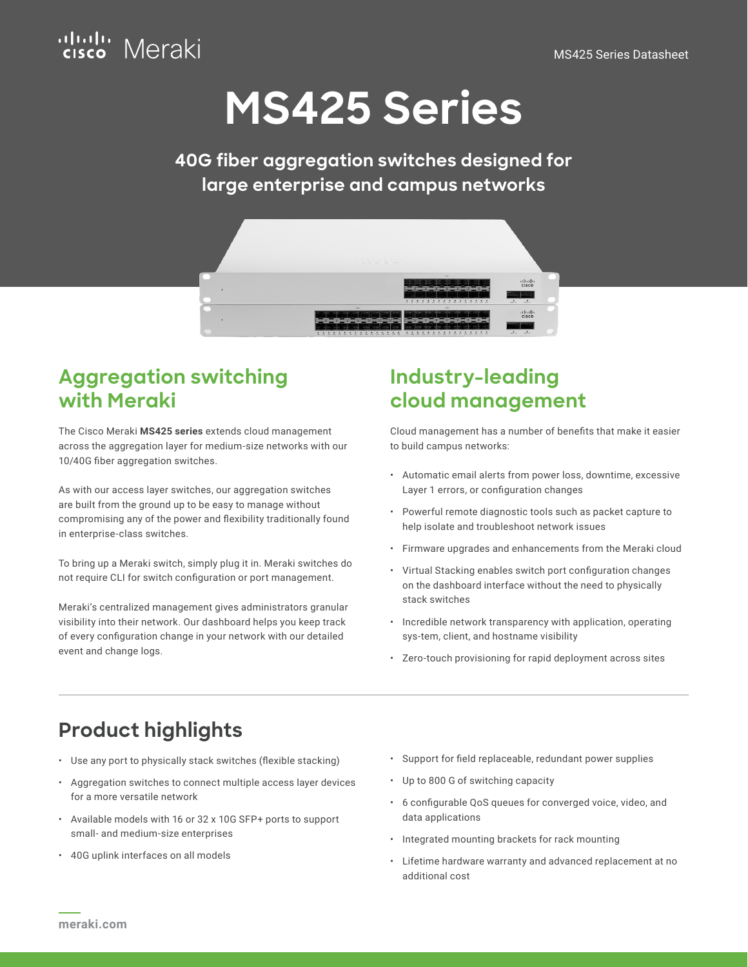

# **MS425 Series**

**40G fiber aggregation switches designed for large enterprise and campus networks**



### **Aggregation switching with Meraki**

The Cisco Meraki **MS425 series** extends cloud management across the aggregation layer for medium-size networks with our 10/40G fiber aggregation switches.

As with our access layer switches, our aggregation switches are built from the ground up to be easy to manage without compromising any of the power and flexibility traditionally found in enterprise-class switches.

To bring up a Meraki switch, simply plug it in. Meraki switches do not require CLI for switch configuration or port management.

Meraki's centralized management gives administrators granular visibility into their network. Our dashboard helps you keep track of every configuration change in your network with our detailed event and change logs.

### **Industry-leading cloud management**

Cloud management has a number of benefits that make it easier to build campus networks:

- Automatic email alerts from power loss, downtime, excessive Layer 1 errors, or configuration changes
- Powerful remote diagnostic tools such as packet capture to help isolate and troubleshoot network issues
- Firmware upgrades and enhancements from the Meraki cloud
- Virtual Stacking enables switch port configuration changes on the dashboard interface without the need to physically stack switches
- Incredible network transparency with application, operating sys-tem, client, and hostname visibility
- Zero-touch provisioning for rapid deployment across sites

### **Product highlights**

- Use any port to physically stack switches (flexible stacking)
- Aggregation switches to connect multiple access layer devices for a more versatile network
- Available models with 16 or 32 x 10G SFP+ ports to support small- and medium-size enterprises
- 40G uplink interfaces on all models
- Support for field replaceable, redundant power supplies
- Up to 800 G of switching capacity
- 6 configurable QoS queues for converged voice, video, and data applications
- Integrated mounting brackets for rack mounting
- Lifetime hardware warranty and advanced replacement at no additional cost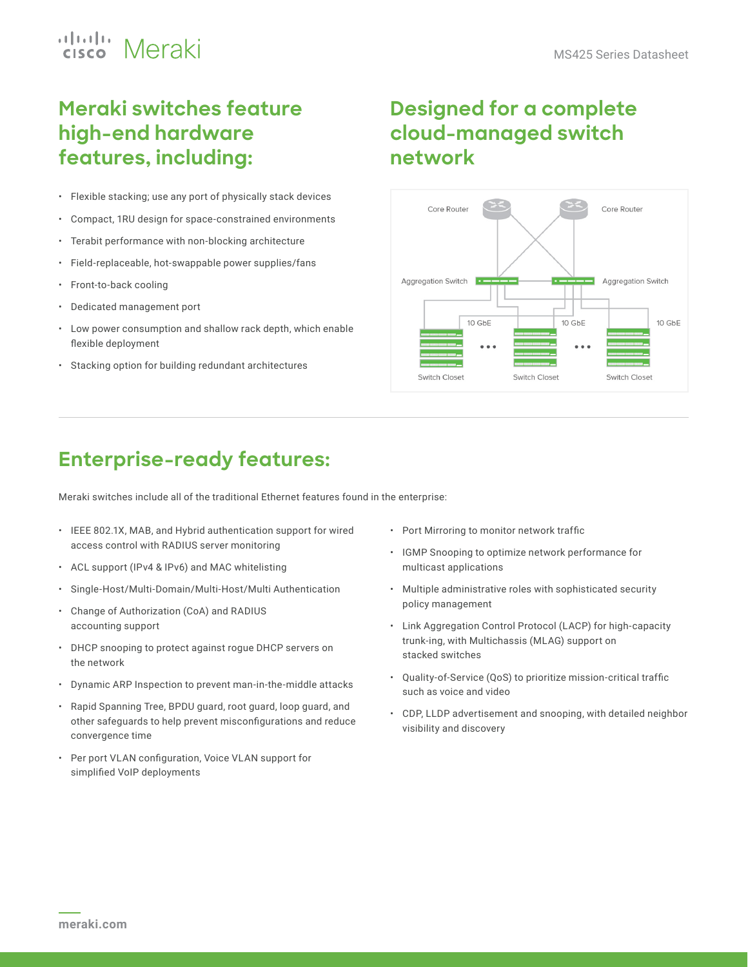## ululu Meraki

### **Meraki switches feature high-end hardware features, including:**

- Flexible stacking; use any port of physically stack devices
- Compact, 1RU design for space-constrained environments
- Terabit performance with non-blocking architecture
- Field-replaceable, hot-swappable power supplies/fans
- Front-to-back cooling
- Dedicated management port
- Low power consumption and shallow rack depth, which enable flexible deployment
- Stacking option for building redundant architectures

### **Designed for a complete cloud-managed switch network**



### **Enterprise-ready features:**

Meraki switches include all of the traditional Ethernet features found in the enterprise:

- IEEE 802.1X, MAB, and Hybrid authentication support for wired access control with RADIUS server monitoring
- ACL support (IPv4 & IPv6) and MAC whitelisting
- Single-Host/Multi-Domain/Multi-Host/Multi Authentication
- Change of Authorization (CoA) and RADIUS accounting support
- DHCP snooping to protect against rogue DHCP servers on the network
- Dynamic ARP Inspection to prevent man-in-the-middle attacks
- Rapid Spanning Tree, BPDU guard, root guard, loop guard, and other safeguards to help prevent misconfigurations and reduce convergence time
- Per port VLAN configuration, Voice VLAN support for simplified VoIP deployments
- Port Mirroring to monitor network traffic
- IGMP Snooping to optimize network performance for multicast applications
- Multiple administrative roles with sophisticated security policy management
- Link Aggregation Control Protocol (LACP) for high-capacity trunk-ing, with Multichassis (MLAG) support on stacked switches
- Quality-of-Service (QoS) to prioritize mission-critical traffic such as voice and video
- CDP, LLDP advertisement and snooping, with detailed neighbor visibility and discovery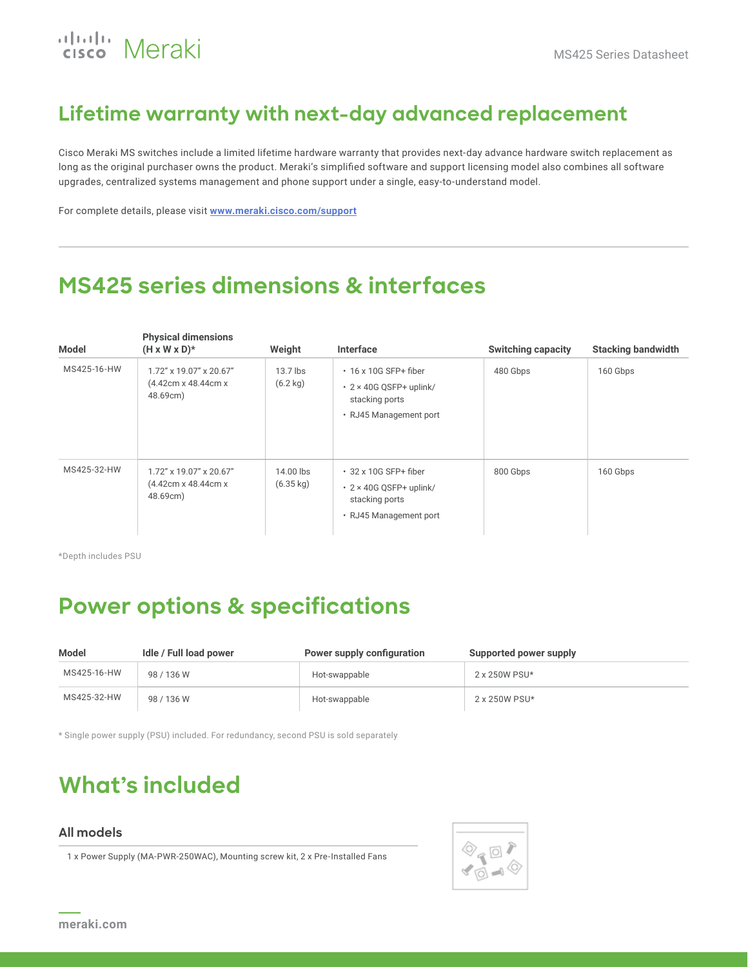## ululu Meraki

### **Lifetime warranty with next-day advanced replacement**

Cisco Meraki MS switches include a limited lifetime hardware warranty that provides next-day advance hardware switch replacement as long as the original purchaser owns the product. Meraki's simplified software and support licensing model also combines all software upgrades, centralized systems management and phone support under a single, easy-to-understand model.

For complete details, please visit **[www.meraki.cisco.com/support](http://www.meraki.cisco.com/support)**

### **MS425 series dimensions & interfaces**

| Model       | <b>Physical dimensions</b><br>$(H \times W \times D)^*$    | Weight                           | Interface                                                                                                | <b>Switching capacity</b> | <b>Stacking bandwidth</b> |
|-------------|------------------------------------------------------------|----------------------------------|----------------------------------------------------------------------------------------------------------|---------------------------|---------------------------|
| MS425-16-HW | 1.72" x 19.07" x 20.67"<br>(4.42cm x 48.44cm x<br>48.69cm) | 13.7 lbs<br>$(6.2 \text{ kg})$   | $\cdot$ 16 x 10G SFP+ fiber<br>$\cdot$ 2 × 40G QSFP+ uplink/<br>stacking ports<br>• RJ45 Management port | 480 Gbps                  | 160 Gbps                  |
| MS425-32-HW | 1.72" x 19.07" x 20.67"<br>(4.42cm x 48.44cm x<br>48.69cm) | 14.00 lbs<br>$(6.35 \text{ kg})$ | $\cdot$ 32 x 10G SFP+ fiber<br>$\cdot$ 2 × 40G QSFP+ uplink/<br>stacking ports<br>• RJ45 Management port | 800 Gbps                  | 160 Gbps                  |

\*Depth includes PSU

### **Power options & specifications**

| Model       | Idle / Full load power | Power supply configuration | Supported power supply |
|-------------|------------------------|----------------------------|------------------------|
| MS425-16-HW | 98 / 136 W             | Hot-swappable              | 2 x 250W PSU*          |
| MS425-32-HW | 98 / 136 W             | Hot-swappable              | 2 x 250W PSU*          |

\* Single power supply (PSU) included. For redundancy, second PSU is sold separately

### **What's included**

#### **All models**

1 x Power Supply (MA-PWR-250WAC), Mounting screw kit, 2 x Pre-Installed Fans

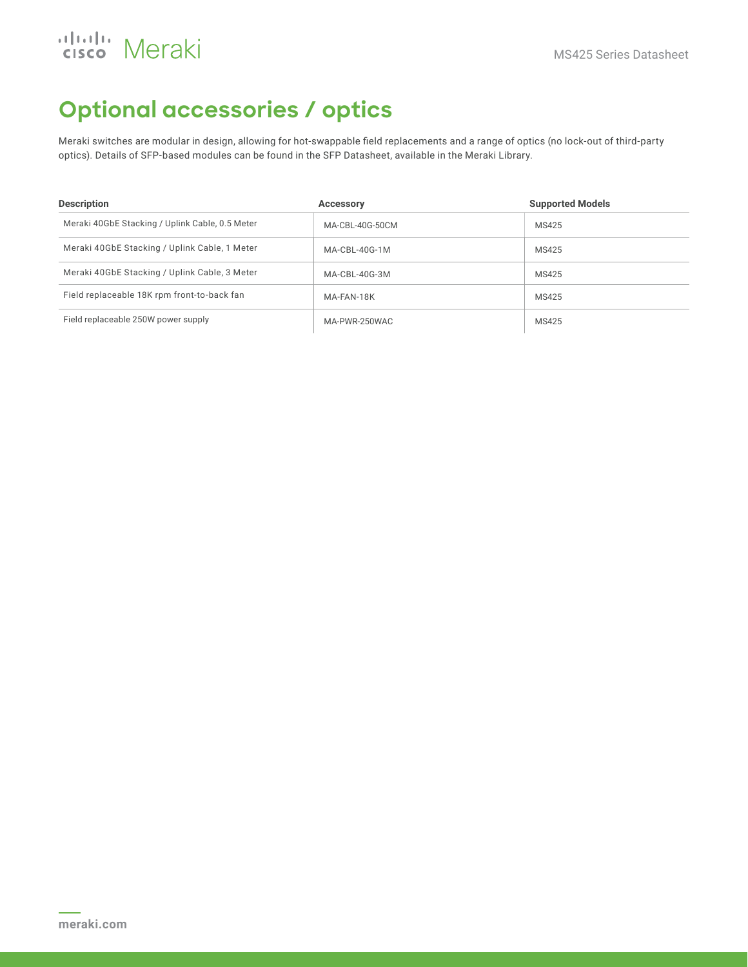## aludu Meraki

### **Optional accessories / optics**

Meraki switches are modular in design, allowing for hot-swappable field replacements and a range of optics (no lock-out of third-party optics). Details of SFP-based modules can be found in the SFP Datasheet, available in the Meraki Library.

| <b>Description</b>                              | <b>Accessory</b> | <b>Supported Models</b> |
|-------------------------------------------------|------------------|-------------------------|
| Meraki 40GbE Stacking / Uplink Cable, 0.5 Meter | MA-CBL-40G-50CM  | MS425                   |
| Meraki 40GbE Stacking / Uplink Cable, 1 Meter   | MA-CBL-40G-1M    | MS425                   |
| Meraki 40GbE Stacking / Uplink Cable, 3 Meter   | MA-CBL-40G-3M    | MS425                   |
| Field replaceable 18K rpm front-to-back fan     | MA-FAN-18K       | MS425                   |
| Field replaceable 250W power supply             | MA-PWR-250WAC    | MS425                   |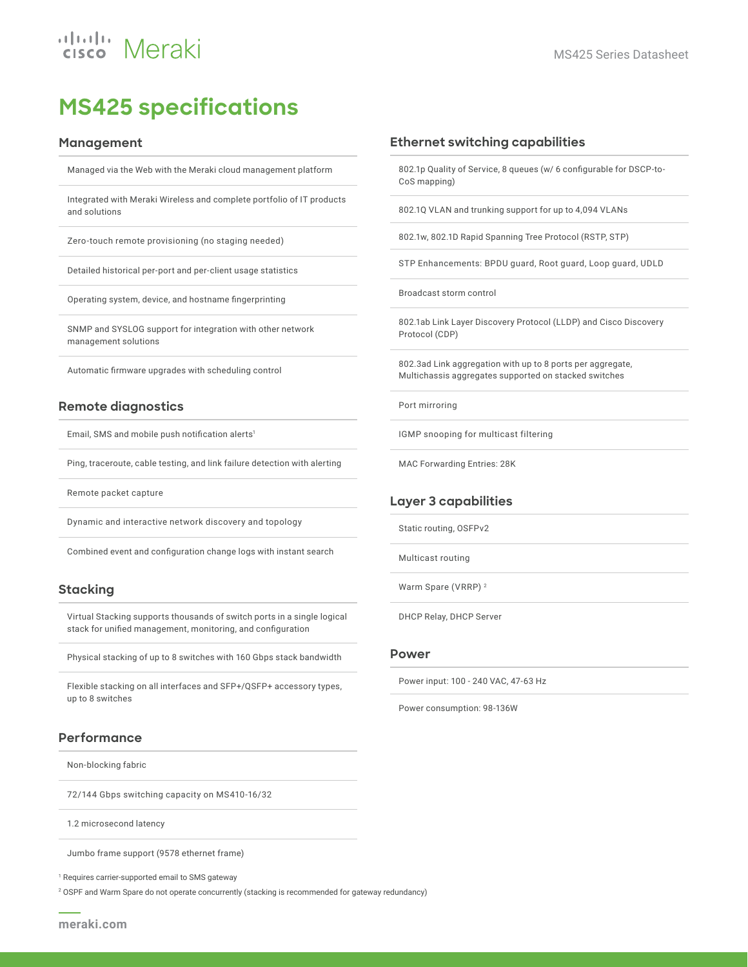### **MS425 specifications**

#### **Management**

Managed via the Web with the Meraki cloud management platform

Integrated with Meraki Wireless and complete portfolio of IT products and solutions

Zero-touch remote provisioning (no staging needed)

Detailed historical per-port and per-client usage statistics

Operating system, device, and hostname fingerprinting

SNMP and SYSLOG support for integration with other network management solutions

Automatic firmware upgrades with scheduling control

#### **Remote diagnostics**

Email, SMS and mobile push notification alerts<sup>1</sup>

Ping, traceroute, cable testing, and link failure detection with alerting

Remote packet capture

Dynamic and interactive network discovery and topology

Combined event and configuration change logs with instant search

#### **Stacking**

Virtual Stacking supports thousands of switch ports in a single logical stack for unified management, monitoring, and configuration

Physical stacking of up to 8 switches with 160 Gbps stack bandwidth

Flexible stacking on all interfaces and SFP+/QSFP+ accessory types, up to 8 switches

#### **Performance**

Non-blocking fabric

72/144 Gbps switching capacity on MS410-16/32

1.2 microsecond latency

Jumbo frame support (9578 ethernet frame)

<sup>1</sup> Requires carrier-supported email to SMS gateway

2 OSPF and Warm Spare do not operate concurrently (stacking is recommended for gateway redundancy)

802.1p Quality of Service, 8 queues (w/ 6 configurable for DSCP-to-CoS mapping)

802.1Q VLAN and trunking support for up to 4,094 VLANs

802.1w, 802.1D Rapid Spanning Tree Protocol (RSTP, STP)

STP Enhancements: BPDU guard, Root guard, Loop guard, UDLD

Broadcast storm control

802.1ab Link Layer Discovery Protocol (LLDP) and Cisco Discovery Protocol (CDP)

802.3ad Link aggregation with up to 8 ports per aggregate, Multichassis aggregates supported on stacked switches

Port mirroring

IGMP snooping for multicast filtering

MAC Forwarding Entries: 28K

#### **Layer 3 capabilities**

Static routing, OSFPv2

Multicast routing

Warm Spare (VRRP) 2

DHCP Relay, DHCP Server

#### **Power**

Power input: 100 - 240 VAC, 47-63 Hz

Power consumption: 98-136W